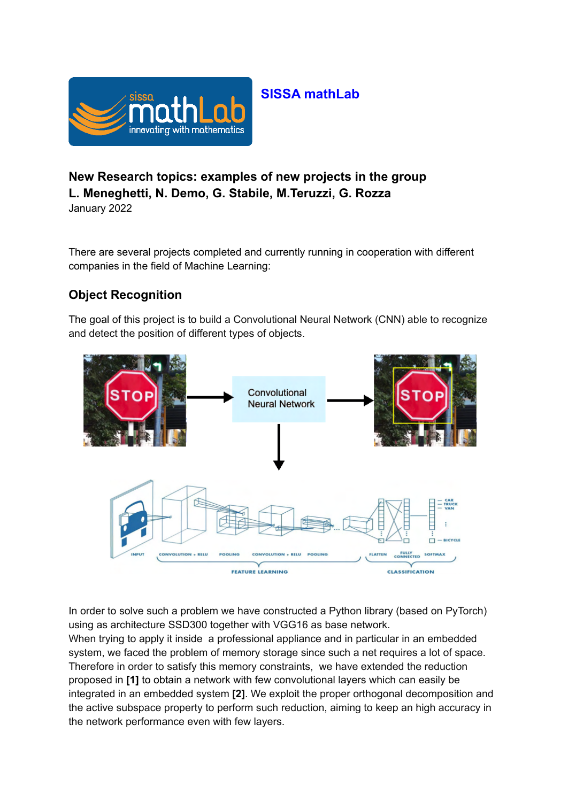

# **SISSA mathLab**

# **New Research topics: examples of new projects in the group L. Meneghetti, N. Demo, G. Stabile, M.Teruzzi, G. Rozza**

January 2022

There are several projects completed and currently running in cooperation with different companies in the field of Machine Learning:

## **Object Recognition**

The goal of this project is to build a Convolutional Neural Network (CNN) able to recognize and detect the position of different types of objects.



In order to solve such a problem we have constructed a Python library (based on PyTorch) using as architecture SSD300 together with VGG16 as base network.

When trying to apply it inside a professional appliance and in particular in an embedded system, we faced the problem of memory storage since such a net requires a lot of space. Therefore in order to satisfy this memory constraints, we have extended the reduction proposed in **[1]** to obtain a network with few convolutional layers which can easily be integrated in an embedded system **[2]**. We exploit the proper orthogonal decomposition and the active subspace property to perform such reduction, aiming to keep an high accuracy in the network performance even with few layers.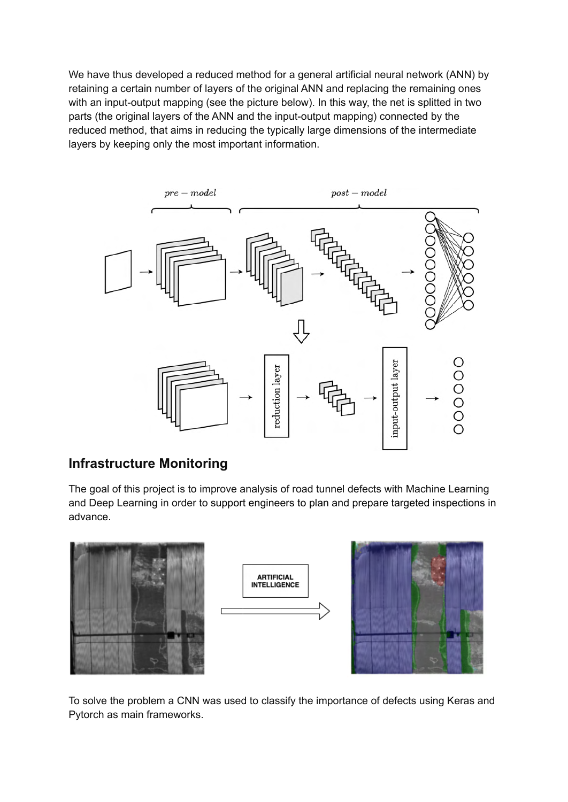We have thus developed a reduced method for a general artificial neural network (ANN) by retaining a certain number of layers of the original ANN and replacing the remaining ones with an input-output mapping (see the picture below). In this way, the net is splitted in two parts (the original layers of the ANN and the input-output mapping) connected by the reduced method, that aims in reducing the typically large dimensions of the intermediate layers by keeping only the most important information.



### **Infrastructure Monitoring**

The goal of this project is to improve analysis of road tunnel defects with Machine Learning and Deep Learning in order to support engineers to plan and prepare targeted inspections in advance.



To solve the problem a CNN was used to classify the importance of defects using Keras and Pytorch as main frameworks.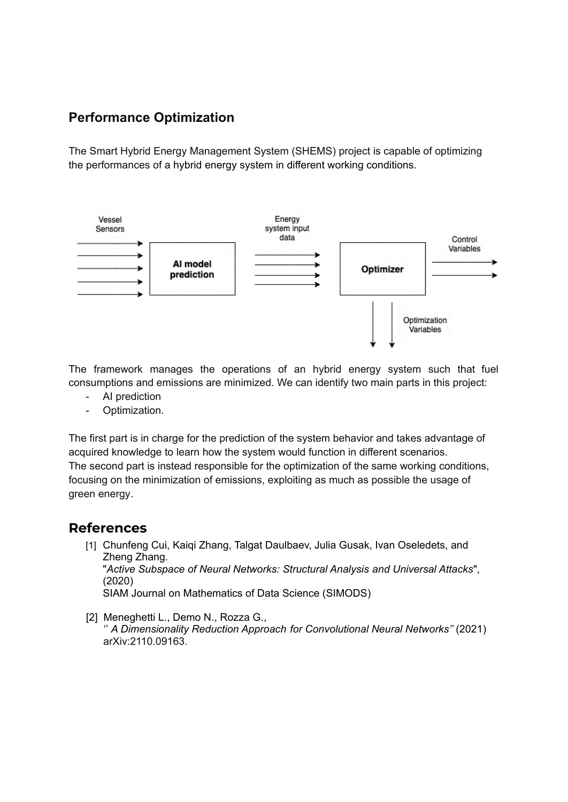### **Performance Optimization**

The Smart Hybrid Energy Management System (SHEMS) project is capable of optimizing the performances of a hybrid energy system in different working conditions.



The framework manages the operations of an hybrid energy system such that fuel consumptions and emissions are minimized. We can identify two main parts in this project:

- AI prediction
- Optimization.

The first part is in charge for the prediction of the system behavior and takes advantage of acquired knowledge to learn how the system would function in different scenarios. The second part is instead responsible for the optimization of the same working conditions, focusing on the minimization of emissions, exploiting as much as possible the usage of green energy.

#### **References**

- [1] Chunfeng Cui, Kaiqi Zhang, Talgat Daulbaev, Julia Gusak, Ivan Oseledets, and Zheng Zhang. "*Active Subspace of Neural Networks: Structural Analysis and Universal Attacks*", (2020) SIAM Journal on Mathematics of Data Science (SIMODS)
- [2] Meneghetti L., Demo N., Rozza G., '' *A Dimensionality Reduction Approach for Convolutional Neural Networks''* (2021) arXiv:2110.09163.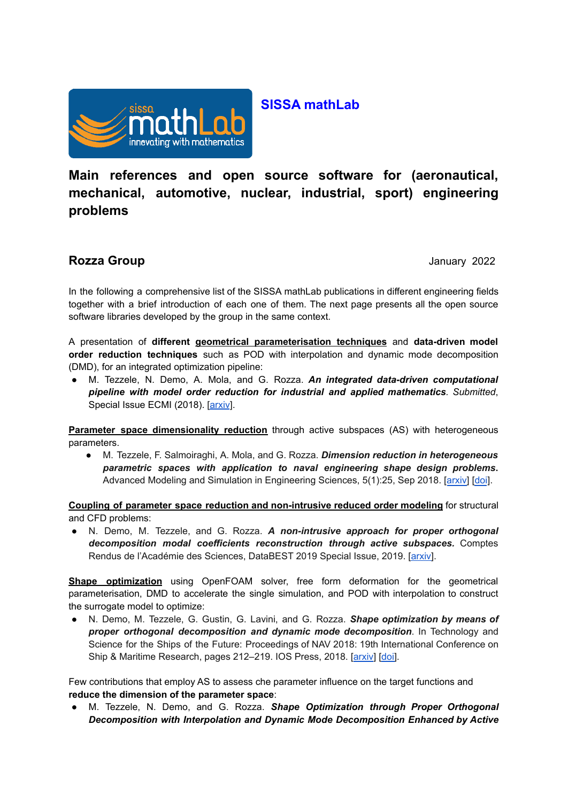

### **SISSA mathLab**

**Main references and open source software for (aeronautical, mechanical, automotive, nuclear, industrial, sport) engineering problems**

#### **Rozza Group** January 2022

In the following a comprehensive list of the SISSA mathLab publications in different engineering fields together with a brief introduction of each one of them. The next page presents all the open source software libraries developed by the group in the same context.

A presentation of **different geometrical parameterisation techniques** and **data-driven model order reduction techniques** such as POD with interpolation and dynamic mode decomposition (DMD), for an integrated optimization pipeline:

● M. Tezzele, N. Demo, A. Mola, and G. Rozza. *An integrated data-driven computational pipeline with model order reduction for industrial and applied mathematics. Submitted*, Special Issue ECMI (2018). [\[arxiv](https://arxiv.org/abs/1810.12364)].

**Parameter space dimensionality reduction** through active subspaces (AS) with heterogeneous parameters.

● M. Tezzele, F. Salmoiraghi, A. Mola, and G. Rozza. *Dimension reduction in heterogeneous parametric spaces with application to naval engineering shape design problems***.** Advanced Modeling and Simulation in Engineering Sciences, 5(1):25, Sep 2018. [[arxiv\]](https://arxiv.org/abs/1709.03298) [[doi](https://doi.org/10.1186/s40323-018-0118-3)].

**Coupling of parameter space reduction and non-intrusive reduced order modeling** for structural and CFD problems:

● N. Demo, M. Tezzele, and G. Rozza. *A non-intrusive approach for proper orthogonal decomposition modal coefficients reconstruction through active subspaces.* Comptes Rendus de l'Académie des Sciences, DataBEST 2019 Special Issue, 2019. [\[arxiv\]](https://arxiv.org/abs/1907.12777).

**Shape optimization** using OpenFOAM solver, free form deformation for the geometrical parameterisation, DMD to accelerate the single simulation, and POD with interpolation to construct the surrogate model to optimize:

● N. Demo, M. Tezzele, G. Gustin, G. Lavini, and G. Rozza. *Shape optimization by means of proper orthogonal decomposition and dynamic mode decomposition*. In Technology and Science for the Ships of the Future: Proceedings of NAV 2018: 19th International Conference on Ship & Maritime Research, pages 212–219. IOS Press, 2018. [[arxiv\]](https://arxiv.org/abs/1803.07368) [\[doi\]](https://doi.org/10.3233/978-1-61499-870-9-212).

Few contributions that employ AS to assess che parameter influence on the target functions and **reduce the dimension of the parameter space**:

● M. Tezzele, N. Demo, and G. Rozza. *Shape Optimization through Proper Orthogonal Decomposition with Interpolation and Dynamic Mode Decomposition Enhanced by Active*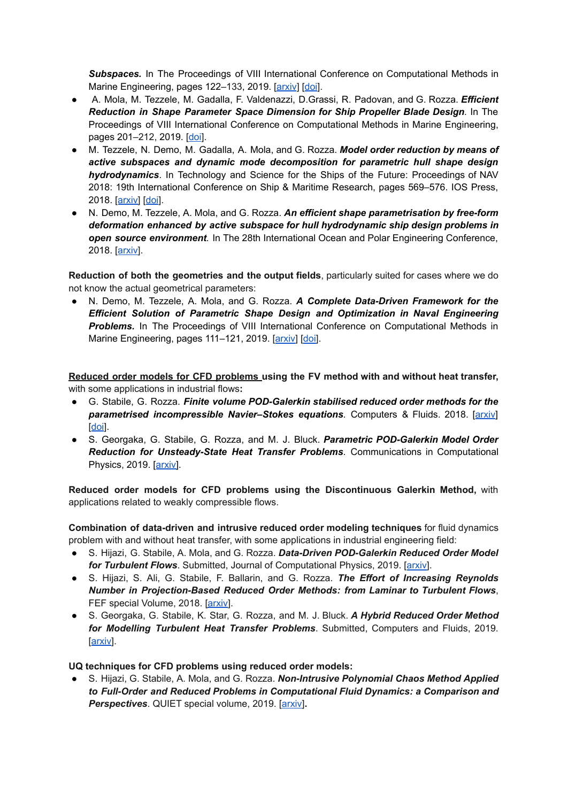**Subspaces.** In The Proceedings of VIII International Conference on Computational Methods in Marine Engineering, pages 122-133, 2019. [\[arxiv](https://arxiv.org/abs/1905.05483)] [[doi](https://congress.cimne.com/marine2019/frontal/Doc/EbookMarine2019.pdf)].

- A. Mola, M. Tezzele, M. Gadalla, F. Valdenazzi, D.Grassi, R. Padovan, and G. Rozza. *Efficient Reduction in Shape Parameter Space Dimension for Ship Propeller Blade Design.* In The Proceedings of VIII International Conference on Computational Methods in Marine Engineering, pages 201–212, 2019. [\[doi](https://congress.cimne.com/marine2019/frontal/Doc/EbookMarine2019.pdf)].
- M. Tezzele, N. Demo, M. Gadalla, A. Mola, and G. Rozza. *Model order reduction by means of active subspaces and dynamic mode decomposition for parametric hull shape design hydrodynamics*. In Technology and Science for the Ships of the Future: Proceedings of NAV 2018: 19th International Conference on Ship & Maritime Research, pages 569–576. IOS Press, 2018. [[arxiv\]](https://arxiv.org/abs/1803.07377) [[doi](https://doi.org/10.3233/978-1-61499-870-9-569)].
- N. Demo, M. Tezzele, A. Mola, and G. Rozza. *An efficient shape parametrisation by free-form deformation enhanced by active subspace for hull hydrodynamic ship design problems in open source environment.* In The 28th International Ocean and Polar Engineering Conference, 2018. [[arxiv\]](https://arxiv.org/abs/1801.06369).

**Reduction of both the geometries and the output fields**, particularly suited for cases where we do not know the actual geometrical parameters:

● N. Demo, M. Tezzele, A. Mola, and G. Rozza. *A Complete Data-Driven Framework for the Efficient Solution of Parametric Shape Design and Optimization in Naval Engineering* **Problems.** In The Proceedings of VIII International Conference on Computational Methods in Marine Engineering, pages 111-121, 2019. [[arxiv\]](https://arxiv.org/abs/1905.05982) [\[doi\]](https://congress.cimne.com/marine2019/frontal/Doc/EbookMarine2019.pdf).

**Reduced order models for CFD problems using the FV method with and without heat transfer,** with some applications in industrial flows**:**

- G. Stabile, G. Rozza. *Finite volume POD-Galerkin stabilised reduced order methods for the parametrised incompressible Navier–Stokes equations.* Computers & Fluids. 2018. [[arxiv\]](https://arxiv.org/abs/1710.11580) [[doi](https://doi.org/10.1016/j.compfluid.2018.01.035)].
- S. Georgaka, G. Stabile, G. Rozza, and M. J. Bluck. *Parametric POD-Galerkin Model Order Reduction for Unsteady-State Heat Transfer Problems*. Communications in Computational Physics, 2019. [[arxiv\]](https://arxiv.org/abs/1808.05175).

**Reduced order models for CFD problems using the Discontinuous Galerkin Method,** with applications related to weakly compressible flows.

**Combination of data-driven and intrusive reduced order modeling techniques** for fluid dynamics problem with and without heat transfer, with some applications in industrial engineering field:

- S. Hijazi, G. Stabile, A. Mola, and G. Rozza. *Data-Driven POD-Galerkin Reduced Order Model for Turbulent Flows*. Submitted, Journal of Computational Physics, 2019. [[arxiv\]](https://arxiv.org/abs/1907.09909).
- S. Hijazi, S. Ali, G. Stabile, F. Ballarin, and G. Rozza. *The Effort of Increasing Reynolds Number in Projection-Based Reduced Order Methods: from Laminar to Turbulent Flows*, FEF special Volume, 2018. [[arxiv](https://arxiv.org/abs/1807.11370)].
- S. Georgaka, G. Stabile, K. Star, G. Rozza, and M. J. Bluck. *A Hybrid Reduced Order Method for Modelling Turbulent Heat Transfer Problems*. Submitted, Computers and Fluids, 2019. [[arxiv\]](https://arxiv.org/abs/1906.08725).

**UQ techniques for CFD problems using reduced order models:**

● S. Hijazi, G. Stabile, A. Mola, and G. Rozza. *Non-Intrusive Polynomial Chaos Method Applied to Full-Order and Reduced Problems in Computational Fluid Dynamics: a Comparison and Perspectives*. QUIET special volume, 2019. [[arxiv\]](https://arxiv.org/abs/1901.06373)**.**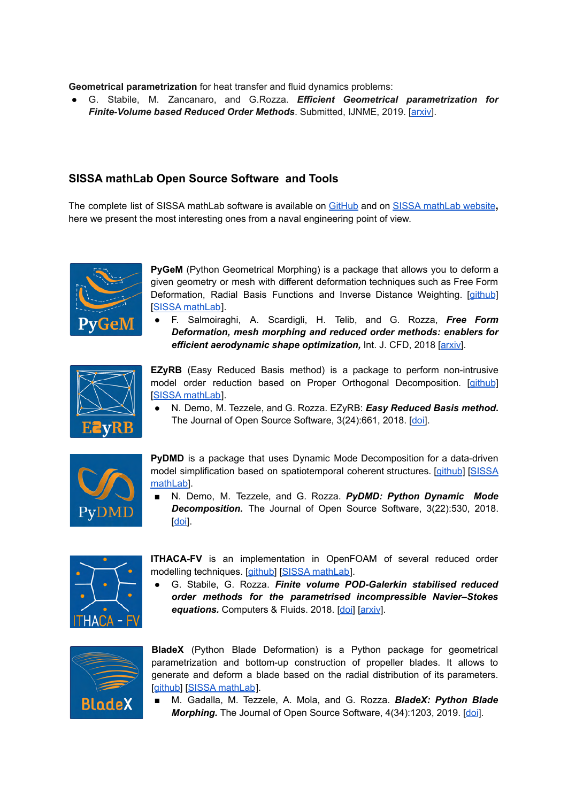**Geometrical parametrization** for heat transfer and fluid dynamics problems:

● G. Stabile, M. Zancanaro, and G.Rozza. *Efficient Geometrical parametrization for Finite-Volume based Reduced Order Methods*. Submitted, IJNME, 2019. [\[arxiv\]](https://arxiv.org/abs/1901.06373).

#### **SISSA mathLab Open Source Software and Tools**

The complete list of SISSA mathLab software is available on [GitHub](https://github.com/mathLab) and on [SISSA mathLab website](https://mathlab.sissa.it/cse-software)**,** here we present the most interesting ones from a naval engineering point of view.



**PyGeM** (Python Geometrical Morphing) is a package that allows you to deform a given geometry or mesh with different deformation techniques such as Free Form Deformation, Radial Basis Functions and Inverse Distance Weighting. [[github](https://github.com/mathLab/PyGeM)] [\[SISSA mathLab](https://mathlab.sissa.it/pygem)].

● F. Salmoiraghi, A. Scardigli, H. Telib, and G. Rozza, *Free Form Deformation, mesh morphing and reduced order methods: enablers for efficient aerodynamic shape optimization, Int. J. CFD, 2018 [[arxiv\]](https://arxiv.org/abs/1803.04688).* 

$$
\sum_{\textbf{E} \textbf{yRB}}^{\textbf{z}}
$$

**EZyRB** (Easy Reduced Basis method) is a package to perform non-intrusive model order reduction based on Proper Orthogonal Decomposition. [\[github](https://github.com/mathLab/EZyRB)] [\[SISSA mathLab](https://mathlab.sissa.it/ezyrb)].

● N. Demo, M. Tezzele, and G. Rozza. EZyRB: *Easy Reduced Basis method***.** The Journal of Open Source Software, 3(24):661, 2018. [\[doi\]](https://doi.org/10.21105/joss.00661).



**PyDMD** is a package that uses Dynamic Mode Decomposition for a data-driven model simplification based on spatiotemporal coherent structures. [\[github](https://github.com/mathLab/PyDMD)] [[SISSA](https://mathlab.sissa.it/pydmd) [mathLab](https://mathlab.sissa.it/pydmd)].

■ N. Demo, M. Tezzele, and G. Rozza. *PyDMD: Python Dynamic Mode Decomposition.* The Journal of Open Source Software, 3(22):530, 2018. [[doi](https://doi.org/10.21105/joss.00530)].



**ITHACA-FV** is an implementation in OpenFOAM of several reduced order modelling techniques. [\[github\]](https://github.com/mathLab/ITHACA-FV) [\[SISSA mathLab](https://mathlab.sissa.it/ithaca-fv)].

● G. Stabile, G. Rozza. *Finite volume POD-Galerkin stabilised reduced order methods for the parametrised incompressible Navier–Stokes* equations. Computers & Fluids. 2018. [[doi\]](https://doi.org/10.1016/j.compfluid.2018.01.035) [\[arxiv](https://arxiv.org/abs/1710.11580)].



**BladeX** (Python Blade Deformation) is a Python package for geometrical parametrization and bottom-up construction of propeller blades. It allows to generate and deform a blade based on the radial distribution of its parameters. [[github\]](https://github.com/mathLab/BladeX) [\[SISSA mathLab](https://mathlab.sissa.it/bladex)].

■ M. Gadalla, M. Tezzele, A. Mola, and G. Rozza. **BladeX: Python Blade** *Morphing.* The Journal of Open Source Software, 4(34):1203, 2019. [[doi](https://doi.org/10.21105/joss.01203)].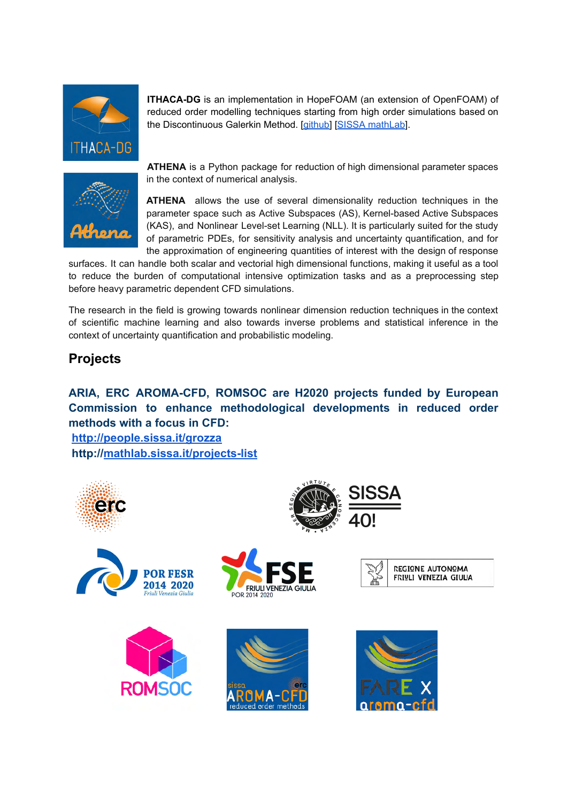

**ITHACA-DG** is an implementation in HopeFOAM (an extension of OpenFOAM) of reduced order modelling techniques starting from high order simulations based on the Discontinuous Galerkin Method. [\[github\]](https://github.com/mathLab/ITHACA-DG) [[SISSA mathLab\]](https://mathlab.sissa.it/ithaca-dg).



**ATHENA** is a Python package for reduction of high dimensional parameter spaces in the context of numerical analysis.

**ATHENA** allows the use of several dimensionality reduction techniques in the parameter space such as Active Subspaces (AS), Kernel-based Active Subspaces (KAS), and Nonlinear Level-set Learning (NLL). It is particularly suited for the study of parametric PDEs, for sensitivity analysis and uncertainty quantification, and for the approximation of engineering quantities of interest with the design of response

surfaces. It can handle both scalar and vectorial high dimensional functions, making it useful as a tool to reduce the burden of computational intensive optimization tasks and as a preprocessing step before heavy parametric dependent CFD simulations.

The research in the field is growing towards nonlinear dimension reduction techniques in the context of scientific machine learning and also towards inverse problems and statistical inference in the context of uncertainty quantification and probabilistic modeling.

#### **Projects**

#### **ARIA, ERC AROMA-CFD, ROMSOC are H2020 projects funded by European Commission to enhance methodological developments in reduced order methods with a focus in CFD:**

**<http://people.sissa.it/grozza> http://[mathlab.sissa.it/projects-list](https://mathlab.sissa.it/projects-list)**













**REGIONE AUTONOMA** 

FRIULI VENEZIA GIULIA